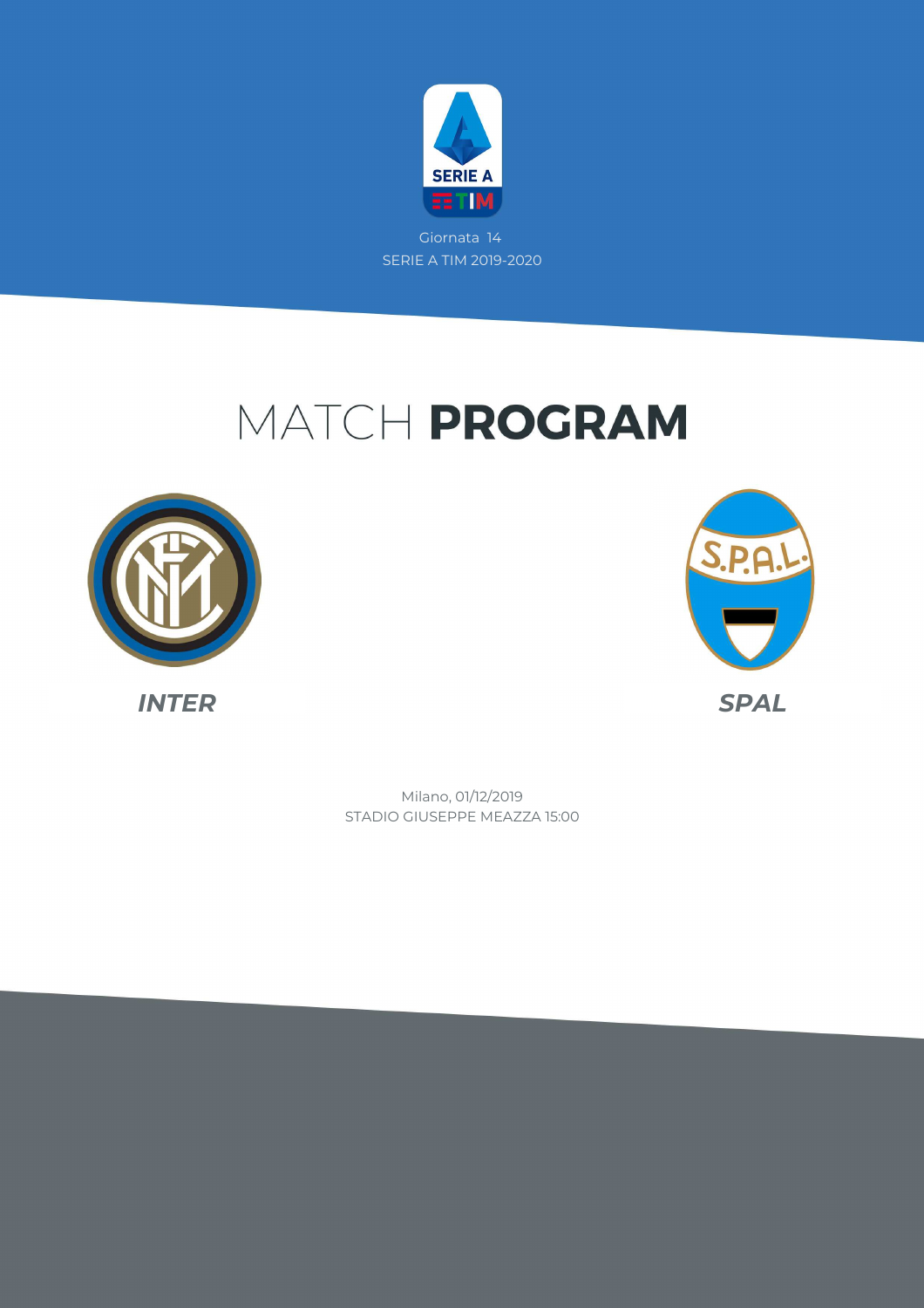

# MATCH PROGRAM





STADIO GIUSEPPE MEAZZA 15:00 Milano, 01/12/2019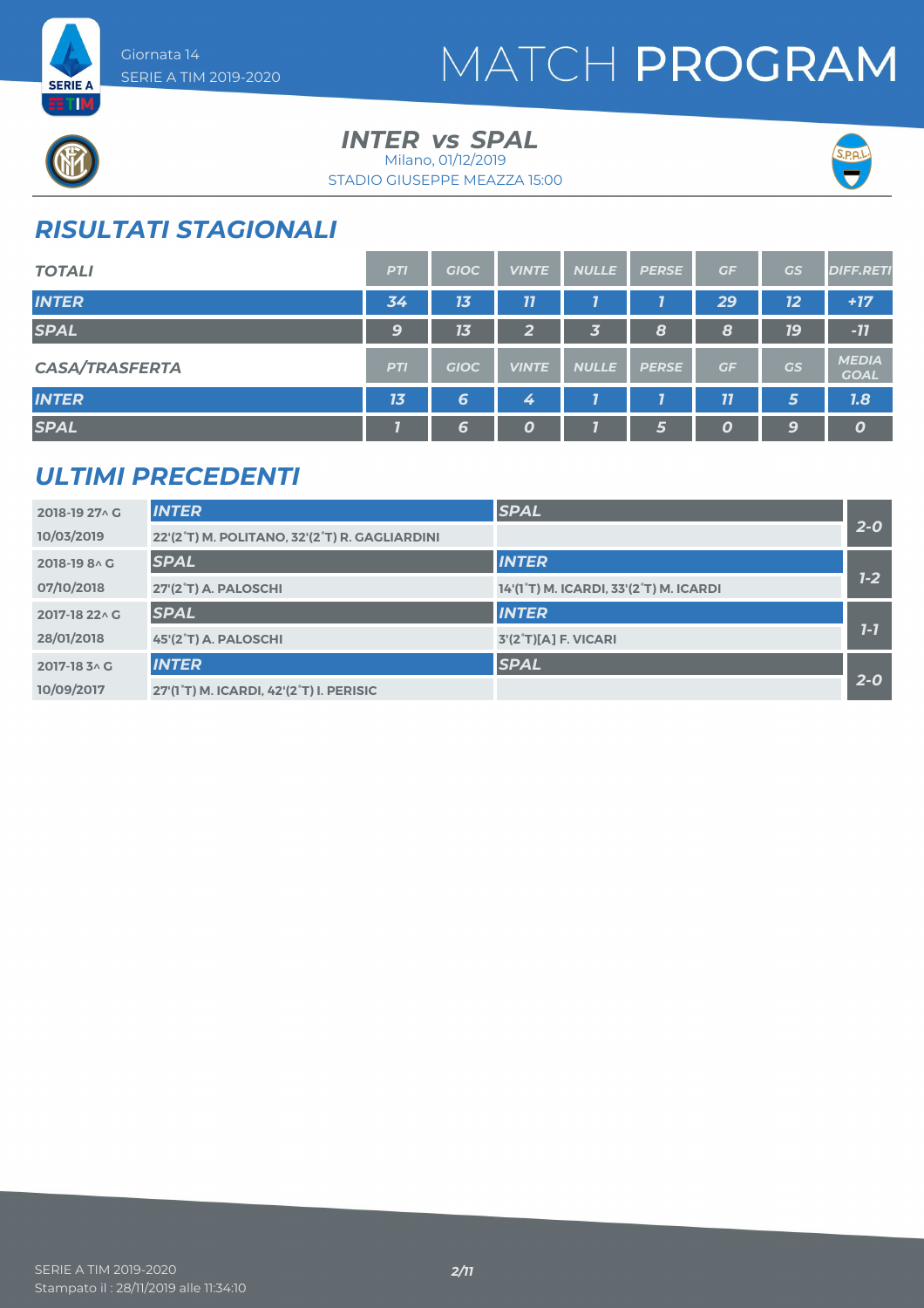



ET M

#### **INTER** vs SPAL Milano, 01/12/2019

STADIO GIUSEPPE MEAZZA 15:00



### *RISULTATI STAGIONALI*

| <b>TOTALI</b>         | <b>PTI</b>       | <b>GIOC</b> | <b>VINTE</b>     | <b>NULLE</b> | <b>PERSE</b> | GF | <b>GS</b> | <b>DIFF.RETI</b>            |
|-----------------------|------------------|-------------|------------------|--------------|--------------|----|-----------|-----------------------------|
| <b>INTER</b>          | 34               | 13          | $\overline{11}$  |              |              | 29 | 12        | $+17$                       |
| <b>SPAL</b>           | $\boldsymbol{9}$ | 13          | $\overline{2}$   | 3            | 8            | 8  | <b>19</b> | $-11$                       |
| <b>CASA/TRASFERTA</b> | <b>PTI</b>       | <b>GIOC</b> | <b>VINTE</b>     | <b>NULLE</b> | <b>PERSE</b> | GF | GS        | <b>MEDIA</b><br><b>GOAL</b> |
| <b>INTER</b>          | 13               | 6           | 4                |              |              | 77 | 5         | 7.8                         |
| <b>SPAL</b>           |                  | 6           | $\boldsymbol{o}$ |              | 5            | 0  | 9         | 0                           |

#### *ULTIMI PRECEDENTI*

| 2018-19 27 \ G | <b>INTER</b>                                  | <b>SPAL</b>                            |         |
|----------------|-----------------------------------------------|----------------------------------------|---------|
| 10/03/2019     | 22'(2°T) M. POLITANO, 32'(2°T) R. GAGLIARDINI |                                        | $2 - 0$ |
| 2018-19 8 A G  | <b>SPAL</b>                                   | <b>INTER</b>                           |         |
| 07/10/2018     | 27'(2°T) A. PALOSCHI                          | 14'(1°T) M. ICARDI, 33'(2°T) M. ICARDI | $7-2$   |
| 2017-18 22 \ G | <b>SPAL</b>                                   | <b>INTER</b>                           |         |
| 28/01/2018     | 45'(2°T) A. PALOSCHI                          | 3'(2°T)[A] F. VICARI                   | $7 - 7$ |
| 2017-18 3 ^ G  | <b>INTER</b>                                  | <b>SPAL</b>                            |         |
| 10/09/2017     | 27'(1°T) M. ICARDI, 42'(2°T) I. PERISIC       |                                        | $2 - 0$ |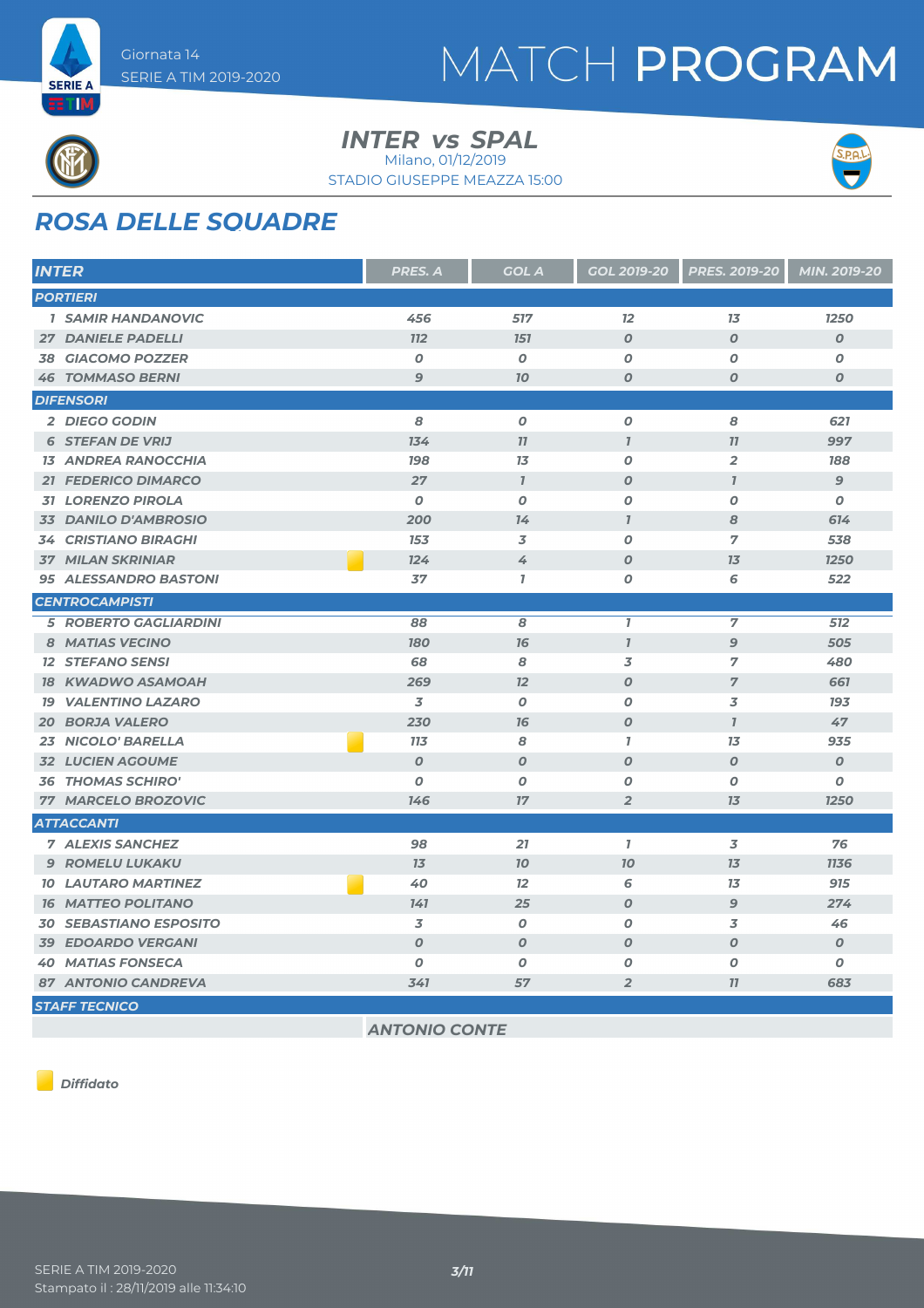



#### **INTER** vs SPAL Milano, 01/12/2019

STADIO GIUSEPPE MEAZZA 15:00



### *ROSA DELLE SQUADRE*

| <b>INTER</b>                  | PRES. A          | <b>GOL A</b>     | <b>GOL 2019-20</b>  | PRES. 2019-20    | MIN. 2019-20     |
|-------------------------------|------------------|------------------|---------------------|------------------|------------------|
| <b>PORTIERI</b>               |                  |                  |                     |                  |                  |
| <b>1 SAMIR HANDANOVIC</b>     | 456              | 517              | 12                  | 13               | 1250             |
| <b>27 DANIELE PADELLI</b>     | <b>112</b>       | <b>151</b>       | $\boldsymbol{O}$    | $\boldsymbol{O}$ | $\boldsymbol{O}$ |
| <b>38 GIACOMO POZZER</b>      | $\boldsymbol{O}$ | $\boldsymbol{0}$ | $\boldsymbol{O}$    | O                | 0                |
| <b>46 TOMMASO BERNI</b>       | $\mathbf{9}$     | <b>10</b>        | $\boldsymbol{O}$    | $\boldsymbol{O}$ | $\boldsymbol{o}$ |
| <b>DIFENSORI</b>              |                  |                  |                     |                  |                  |
| 2 DIEGO GODIN                 | 8                | $\pmb{o}$        | $\pmb{o}$           | 8                | 621              |
| <b>6 STEFAN DE VRIJ</b>       | 134              | 77               | $\boldsymbol{\eta}$ | 11               | 997              |
| <b>13 ANDREA RANOCCHIA</b>    | <b>198</b>       | 13               | $\boldsymbol{O}$    | $\overline{2}$   | 188              |
| <b>21 FEDERICO DIMARCO</b>    | 27               | $\mathbf{7}$     | $\boldsymbol{O}$    | $\mathbf{I}$     | 9                |
| <b>31 LORENZO PIROLA</b>      | $\boldsymbol{0}$ | $\boldsymbol{0}$ | $\boldsymbol{O}$    | O                | 0                |
| 33 DANILO D'AMBROSIO          | 200              | 14               | $\mathbf{I}$        | 8                | 614              |
| <b>34 CRISTIANO BIRAGHI</b>   | 153              | 3                | $\boldsymbol{O}$    | $\overline{7}$   | 538              |
| <b>37 MILAN SKRINIAR</b>      | 124              | 4                | $\boldsymbol{O}$    | 13               | 1250             |
| <b>95 ALESSANDRO BASTONI</b>  | 37               | $\mathbf{7}$     | 0                   | 6                | 522              |
| <b>CENTROCAMPISTI</b>         |                  |                  |                     |                  |                  |
| <b>5 ROBERTO GAGLIARDINI</b>  | 88               | 8                | $\mathbf{I}$        | 7                | 512              |
| 8 MATIAS VECINO               | <b>180</b>       | 76               | $\overline{I}$      | $\mathbf{9}$     | 505              |
| <b>12 STEFANO SENSI</b>       | 68               | 8                | 3                   | $\overline{7}$   | 480              |
| <b>18 KWADWO ASAMOAH</b>      | 269              | 12               | $\boldsymbol{O}$    | $\overline{7}$   | 661              |
| <b>19 VALENTINO LAZARO</b>    | 3                | $\boldsymbol{0}$ | $\boldsymbol{0}$    | 3                | <b>193</b>       |
| <b>20 BORJA VALERO</b>        | 230              | 76               | $\boldsymbol{O}$    | $\mathbf{I}$     | 47               |
| 23 NICOLO' BARELLA            | <b>113</b>       | 8                | $\mathbf{7}$        | 13               | 935              |
| <b>32 LUCIEN AGOUME</b>       | $\boldsymbol{0}$ | $\boldsymbol{0}$ | $\boldsymbol{O}$    | $\boldsymbol{O}$ | $\boldsymbol{O}$ |
| <b>36 THOMAS SCHIRO'</b>      | $\boldsymbol{0}$ | $\boldsymbol{0}$ | $\boldsymbol{0}$    | 0                | 0                |
| 77 MARCELO BROZOVIC           | 146              | 17               | $\overline{2}$      | 7 <sub>3</sub>   | 1250             |
| <b>ATTACCANTI</b>             |                  |                  |                     |                  |                  |
| <b>7 ALEXIS SANCHEZ</b>       | 98               | 21               | $\mathbf{I}$        | 3                | 76               |
| <b>9 ROMELU LUKAKU</b>        | 13               | 70               | 70                  | 13               | 1136             |
| <b>10 LAUTARO MARTINEZ</b>    | 40               | 12               | 6                   | 13               | 915              |
| <b>16 MATTEO POLITANO</b>     | 141              | 25               | $\boldsymbol{O}$    | $\mathbf{9}$     | 274              |
| <b>30 SEBASTIANO ESPOSITO</b> | 3                | $\boldsymbol{o}$ | $\boldsymbol{O}$    | 3                | 46               |
| <b>39 EDOARDO VERGANI</b>     | $\boldsymbol{O}$ | $\boldsymbol{0}$ | $\boldsymbol{O}$    | $\boldsymbol{O}$ | $\boldsymbol{o}$ |
| <b>40 MATIAS FONSECA</b>      | O                | $\boldsymbol{0}$ | $\boldsymbol{O}$    | $\boldsymbol{O}$ | 0                |
| <b>87 ANTONIO CANDREVA</b>    | 341              | 57               | $\overline{2}$      | 77               | 683              |
| <b>STAFF TECNICO</b>          |                  |                  |                     |                  |                  |

*ANTONIO CONTE*

*Diffidato*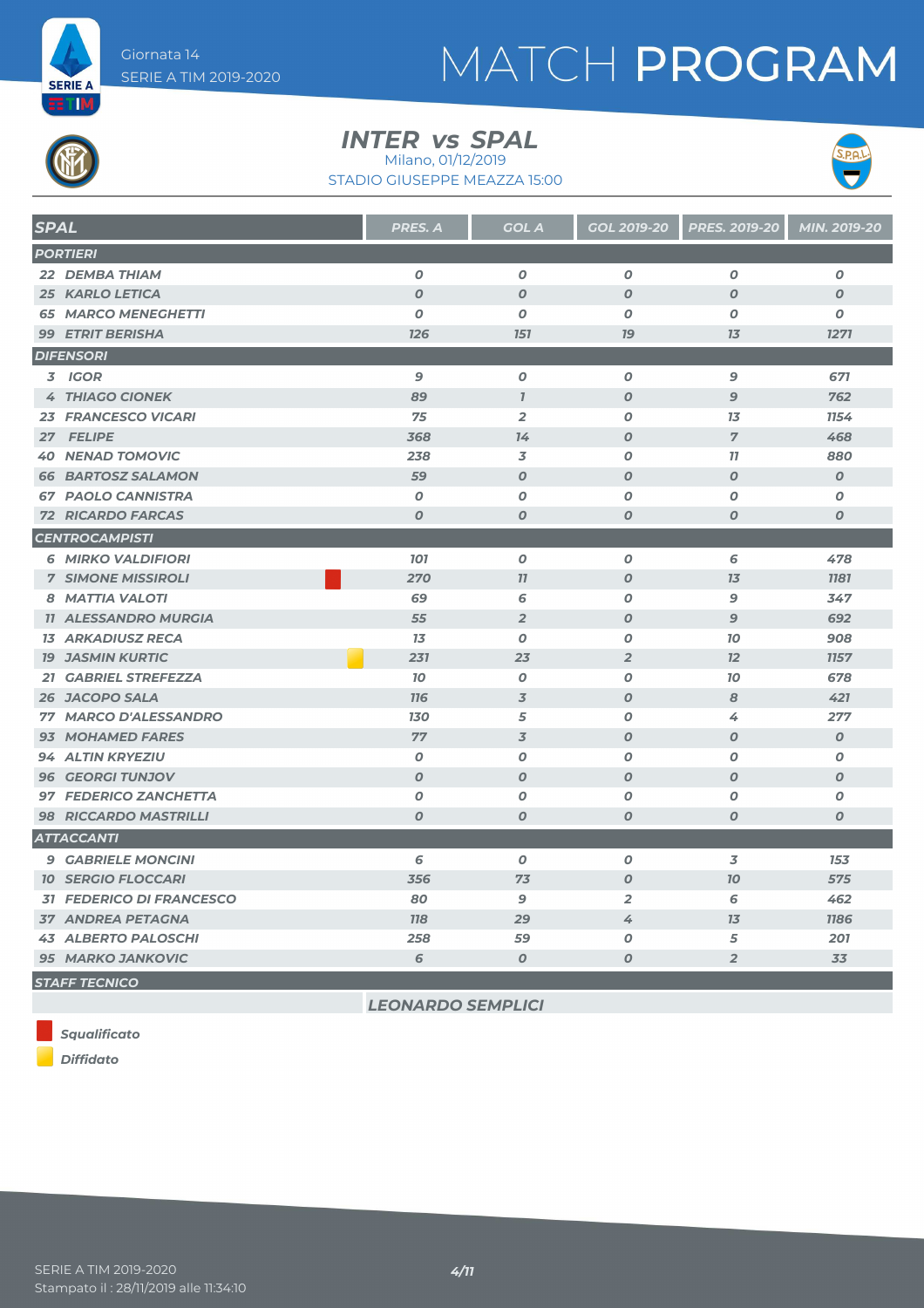

# MATCH PROGRAM



#### **INTER** vs SPAL

Milano, 01/12/2019





| <b>SPAL</b> |                                 | <b>PRES. A</b>   | <b>GOL A</b>     | GOL 2019-20      | <b>PRES. 2019-20</b> | MIN. 2019-20     |
|-------------|---------------------------------|------------------|------------------|------------------|----------------------|------------------|
|             | <b>PORTIERI</b>                 |                  |                  |                  |                      |                  |
|             | 22 DEMBA THIAM                  | $\boldsymbol{o}$ | $\boldsymbol{o}$ | 0                | O                    | 0                |
|             | <b>25 KARLO LETICA</b>          | $\overline{O}$   | $\boldsymbol{O}$ | $\boldsymbol{O}$ | $\boldsymbol{O}$     | $\boldsymbol{O}$ |
|             | <b>65 MARCO MENEGHETTI</b>      | $\boldsymbol{0}$ | $\boldsymbol{0}$ | $\boldsymbol{0}$ | $\boldsymbol{O}$     | $\boldsymbol{O}$ |
|             | <b>99 ETRIT BERISHA</b>         | 126              | <b>151</b>       | 79               | 13                   | 1271             |
|             | <b>DIFENSORI</b>                |                  |                  |                  |                      |                  |
|             | 3 IGOR                          | 9                | $\boldsymbol{o}$ | 0                | 9                    | 671              |
|             | <b>4 THIAGO CIONEK</b>          | 89               | $\mathbf{7}$     | $\boldsymbol{O}$ | 9                    | 762              |
|             | <b>23 FRANCESCO VICARI</b>      | 75               | $\overline{2}$   | $\boldsymbol{0}$ | 13                   | 1154             |
|             | 27 FELIPE                       | 368              | 74               | $\boldsymbol{O}$ | $\overline{7}$       | 468              |
|             | <b>40 NENAD TOMOVIC</b>         | 238              | 3                | 0                | 77                   | 880              |
|             | <b>66 BARTOSZ SALAMON</b>       | 59               | $\boldsymbol{O}$ | $\boldsymbol{O}$ | $\boldsymbol{O}$     | $\boldsymbol{0}$ |
|             | <b>67 PAOLO CANNISTRA</b>       | $\boldsymbol{0}$ | $\boldsymbol{O}$ | $\boldsymbol{O}$ | O                    | $\boldsymbol{0}$ |
|             | <b>72 RICARDO FARCAS</b>        | $\boldsymbol{O}$ | $\boldsymbol{O}$ | $\boldsymbol{O}$ | $\boldsymbol{O}$     | $\boldsymbol{O}$ |
|             | <b>CENTROCAMPISTI</b>           |                  |                  |                  |                      |                  |
|             | <b>6 MIRKO VALDIFIORI</b>       | <b>101</b>       | $\boldsymbol{o}$ | 0                | 6                    | 478              |
|             | <b>7 SIMONE MISSIROLI</b>       | 270              | 77               | $\boldsymbol{O}$ | 13                   | <b>1181</b>      |
|             | 8 MATTIA VALOTI                 | 69               | 6                | 0                | 9                    | 347              |
|             | <b>11 ALESSANDRO MURGIA</b>     | 55               | $\overline{2}$   | $\boldsymbol{O}$ | $\mathbf{9}$         | 692              |
|             | <b>13 ARKADIUSZ RECA</b>        | 13               | $\boldsymbol{0}$ | $\boldsymbol{O}$ | 70                   | 908              |
|             | <b>19 JASMIN KURTIC</b>         | 231              | 23               | $\overline{2}$   | 12                   | <b>1157</b>      |
|             | 21 GABRIEL STREFEZZA            | 70               | $\pmb{o}$        | $\boldsymbol{O}$ | 70                   | 678              |
|             | 26 JACOPO SALA                  | <b>776</b>       | $\overline{3}$   | $\boldsymbol{O}$ | 8                    | 421              |
|             | <b>77 MARCO D'ALESSANDRO</b>    | 130              | 5                | $\boldsymbol{O}$ | 4                    | 277              |
|             | 93 MOHAMED FARES                | 77               | $\overline{3}$   | $\boldsymbol{O}$ | $\boldsymbol{O}$     | $\boldsymbol{0}$ |
|             | <b>94 ALTIN KRYEZIU</b>         | $\boldsymbol{O}$ | $\boldsymbol{O}$ | 0                | O                    | $\boldsymbol{0}$ |
|             | <b>96 GEORGI TUNJOV</b>         | $\boldsymbol{O}$ | $\boldsymbol{0}$ | $\boldsymbol{O}$ | $\boldsymbol{O}$     | $\boldsymbol{0}$ |
|             | 97 FEDERICO ZANCHETTA           | $\boldsymbol{0}$ | $\boldsymbol{0}$ | O                | $\boldsymbol{O}$     | $\boldsymbol{0}$ |
|             | <b>98 RICCARDO MASTRILLI</b>    | O                | $\boldsymbol{O}$ | $\boldsymbol{0}$ | $\boldsymbol{O}$     | O                |
|             | <b>ATTACCANTI</b>               |                  |                  |                  |                      |                  |
|             | <b>9 GABRIELE MONCINI</b>       | 6                | $\boldsymbol{o}$ | $\boldsymbol{o}$ | 3                    | 153              |
|             | <b>10 SERGIO FLOCCARI</b>       | 356              | 73               | $\boldsymbol{O}$ | 70                   | 575              |
|             | <b>31 FEDERICO DI FRANCESCO</b> | 80               | 9                | $\overline{2}$   | 6                    | 462              |
|             | <b>37 ANDREA PETAGNA</b>        | <b>118</b>       | 29               | 4                | 13                   | <b>1186</b>      |
|             | <b>43 ALBERTO PALOSCHI</b>      | 258              | 59               | $\boldsymbol{O}$ | 5                    | 201              |
|             | <b>95 MARKO JANKOVIC</b>        | 6                | $\boldsymbol{O}$ | $\boldsymbol{O}$ | $\overline{2}$       | 33               |

*STAFF TECNICO*

*LEONARDO SEMPLICI*

*Squalificato*

*Diffidato*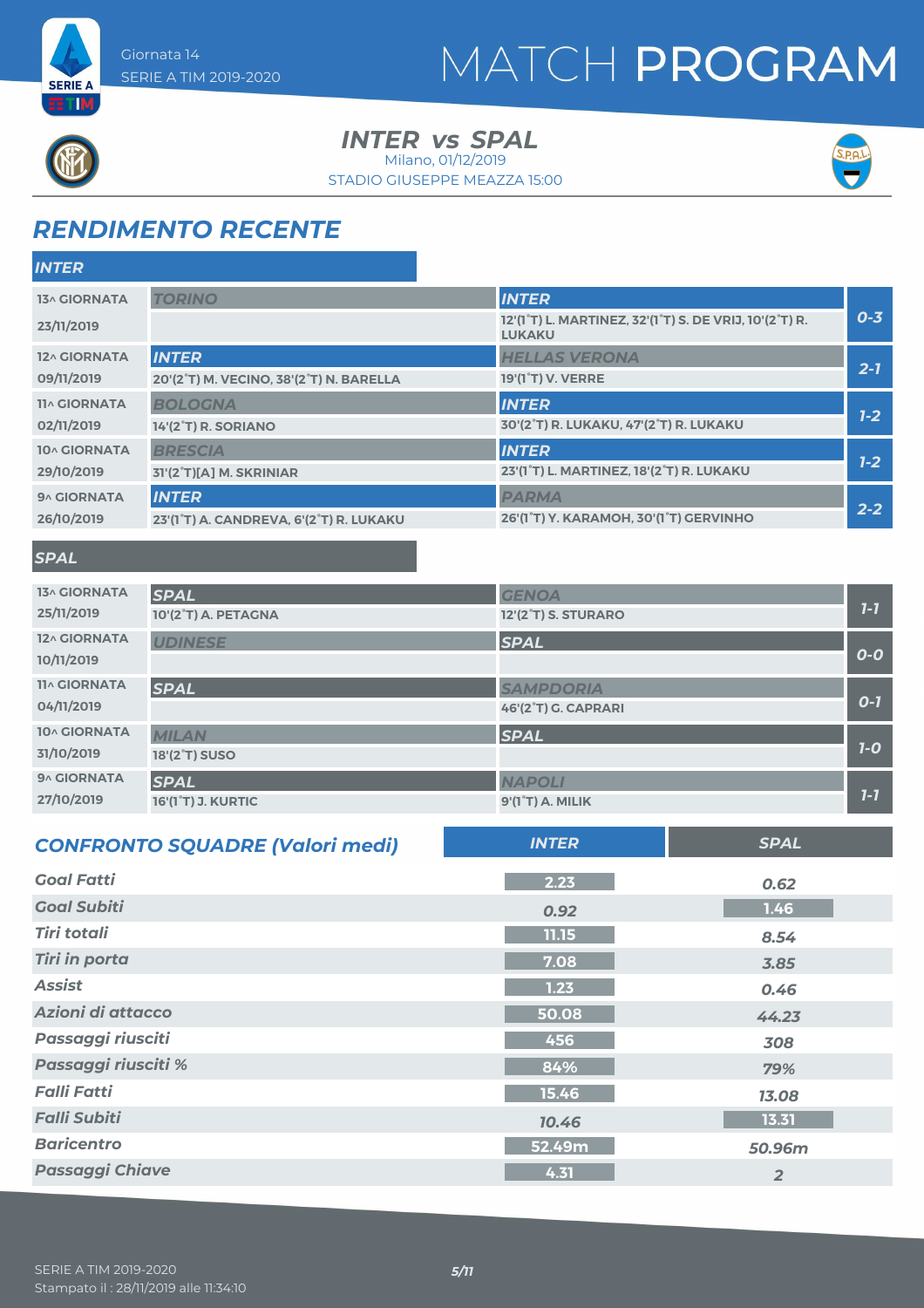



**INTER** vs SPAL STADIO GIUSEPPE MEAZZA 15:00 Milano, 01/12/2019



### *RENDIMENTO RECENTE*

| <b>INTER</b>        |                                         |                                                                                                                |         |
|---------------------|-----------------------------------------|----------------------------------------------------------------------------------------------------------------|---------|
| <b>13^ GIORNATA</b> | <b>TORINO</b>                           | <b>INTER</b>                                                                                                   |         |
| 23/11/2019          |                                         | 12'(1 <sup>°</sup> T) L. MARTINEZ, 32'(1 <sup>°</sup> T) S. DE VRIJ, 10'(2 <sup>°</sup> T) R.<br><b>LUKAKU</b> | $0 - 3$ |
| 12^ GIORNATA        | <b>INTER</b>                            | <b>HELLAS VERONA</b>                                                                                           |         |
| 09/11/2019          | 20'(2°T) M. VECINO, 38'(2°T) N. BARELLA | 19'(1 <sup>°</sup> T) V. VERRE                                                                                 | $2 - 7$ |
| <b>11^ GIORNATA</b> | <b>BOLOGNA</b>                          | <b>INTER</b>                                                                                                   |         |
| 02/11/2019          | 14'(2°T) R. SORIANO                     | 30'(2°T) R. LUKAKU, 47'(2°T) R. LUKAKU                                                                         | $7-2$   |
| 10^ GIORNATA        | <b>BRESCIA</b>                          | <b>INTER</b>                                                                                                   |         |
| 29/10/2019          | 31'(2°T)[A] M. SKRINIAR                 | 23'(1°T) L. MARTINEZ, 18'(2°T) R. LUKAKU                                                                       | $7 - 2$ |
| 9^ GIORNATA         | <b>INTER</b>                            | <b>PARMA</b>                                                                                                   |         |
| 26/10/2019          | 23'(1°T) A. CANDREVA, 6'(2°T) R. LUKAKU | 26'(1°T) Y. KARAMOH, 30'(1°T) GERVINHO                                                                         | $2 - 2$ |

#### *SPAL*

| <b>13^ GIORNATA</b><br>25/11/2019 | <b>SPAL</b><br>10'(2°T) A. PETAGNA         | <b>GENOA</b><br><b>12'(2<sup>°</sup>T) S. STURARO</b> | $7 - 7$ |
|-----------------------------------|--------------------------------------------|-------------------------------------------------------|---------|
| 12^ GIORNATA<br>10/11/2019        | <b>UDINESE</b>                             | <b>SPAL</b>                                           | $O-O$   |
| <b>11^ GIORNATA</b><br>04/11/2019 | <b>SPAL</b>                                | <b>SAMPDORIA</b><br>46'(2°T) G. CAPRARI               | $O-7$   |
| 10^ GIORNATA<br>31/10/2019        | <b>MILAN</b><br>18'(2 <sup>°</sup> T) SUSO | <b>SPAL</b>                                           | $7-0$   |
| 9^ GIORNATA<br>27/10/2019         | <b>SPAL</b><br><b>16'(1°T) J. KURTIC</b>   | <b>NAPOLI</b><br>9'(1°T) A. MILIK                     | $7-7$   |

| <b>CONFRONTO SQUADRE (Valori medi)</b> | <b>INTER</b> | <b>SPAL</b>    |
|----------------------------------------|--------------|----------------|
| <b>Goal Fatti</b>                      | 2.23         | 0.62           |
| <b>Goal Subiti</b>                     | 0.92         | 1.46           |
| <b>Tiri totali</b>                     | 11.15        | 8.54           |
| <b>Tiri in porta</b>                   | 7.08         | 3.85           |
| <b>Assist</b>                          | 1.23         | 0.46           |
| Azioni di attacco                      | 50.08        | 44.23          |
| <b>Passaggi riusciti</b>               | 456          | 308            |
| Passaggi riusciti %                    | 84%          | 79%            |
| <b>Falli Fatti</b>                     | 15.46        | 13.08          |
| <b>Falli Subiti</b>                    | 10.46        | 13.31          |
| <b>Baricentro</b>                      | 52.49m       | 50.96m         |
| <b>Passaggi Chiave</b>                 | 4.31         | $\overline{2}$ |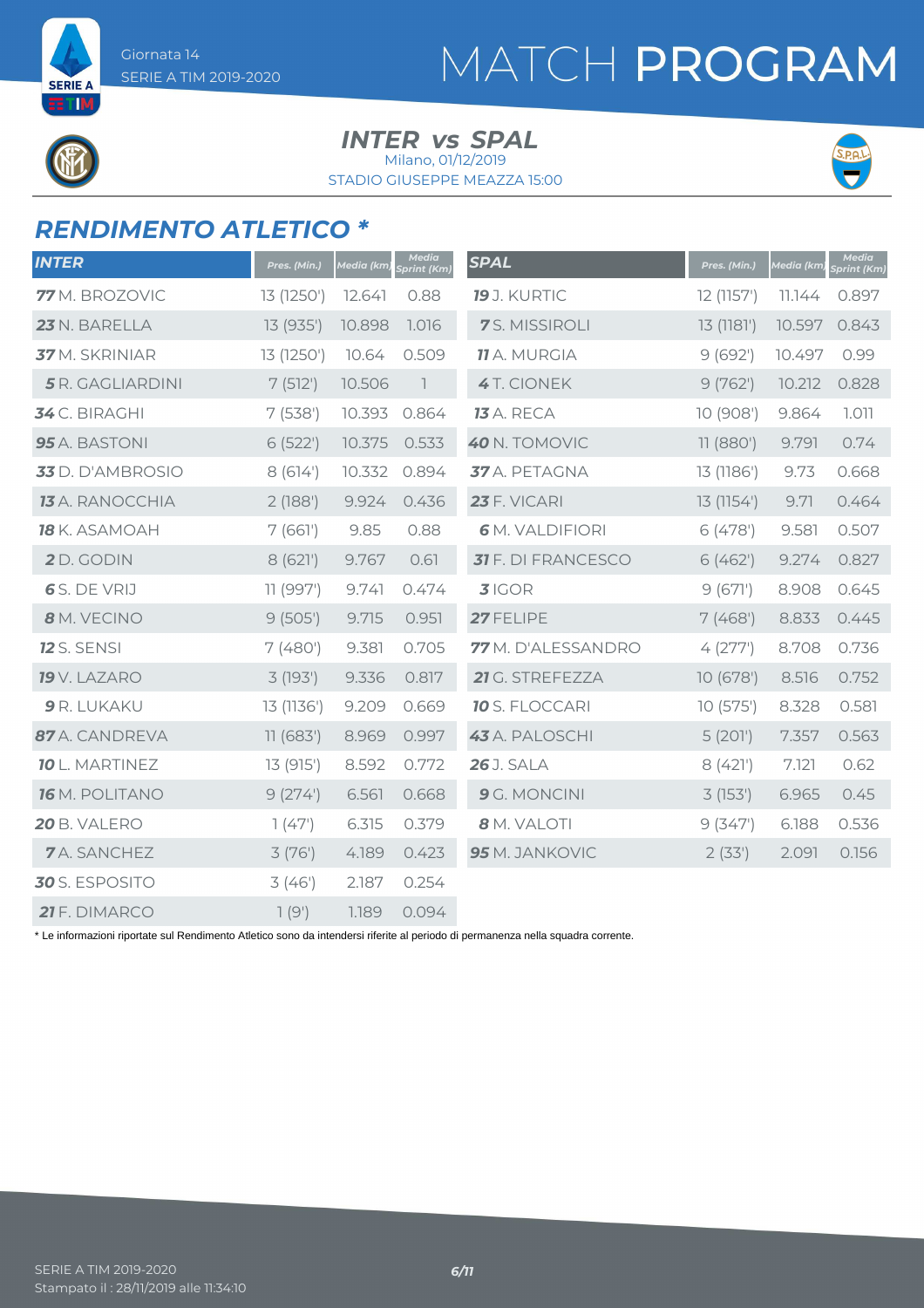SERIE A ETIM

#### **INTER** vs SPAL

STADIO GIUSEPPE MEAZZA 15:00 Milano, 01/12/2019



#### *RENDIMENTO ATLETICO \**

| <b>INTER</b>           | Pres. (Min.) | Media (km) | <b>Media</b><br>Sprint (Km) | <b>SPAL</b>               | Pres. (Min.) | Media (km) | <b>Media</b><br>Sprint (Km) |
|------------------------|--------------|------------|-----------------------------|---------------------------|--------------|------------|-----------------------------|
| 77 M. BROZOVIC         | 13 (1250')   | 12.641     | 0.88                        | <b>19</b> J. KURTIC       | 12 (1157')   | 11.144     | 0.897                       |
| 23 N. BARELLA          | 13 (935')    | 10.898     | 1.016                       | 7S. MISSIROLI             | 13 (1181')   | 10.597     | 0.843                       |
| 37 M. SKRINIAR         | 13 (1250')   | 10.64      | 0.509                       | <b>11</b> A. MURGIA       | 9(692)       | 10.497     | 0.99                        |
| 5 R. GAGLIARDINI       | 7(512)       | 10.506     | 1                           | 4T. CIONEK                | 9(762)       | 10.212     | 0.828                       |
| 34 C. BIRAGHI          | 7(538)       | 10.393     | 0.864                       | <b>13</b> A. RECA         | 10 (908')    | 9.864      | 1.011                       |
| 95 A. BASTONI          | 6 (522')     | 10.375     | 0.533                       | 40 N. TOMOVIC             | 11 (880')    | 9.791      | 0.74                        |
| 33 D. D'AMBROSIO       | 8(614)       | 10.332     | 0.894                       | 37 A. PETAGNA             | 13 (1186')   | 9.73       | 0.668                       |
| <b>13</b> A. RANOCCHIA | 2(188)       | 9.924      | 0.436                       | 23 F. VICARI              | 13 (1154')   | 9.71       | 0.464                       |
| 18 K. ASAMOAH          | 7(661)       | 9.85       | 0.88                        | 6 M. VALDIFIORI           | 6(478)       | 9.581      | 0.507                       |
| 2D. GODIN              | 8(621)       | 9.767      | 0.61                        | <b>31</b> F. DI FRANCESCO | 6(462)       | 9.274      | 0.827                       |
| 6 S. DE VRIJ           | 11 (997')    | 9.741      | 0.474                       | $3$ IGOR                  | 9(671)       | 8.908      | 0.645                       |
| 8 M. VECINO            | 9(505)       | 9.715      | 0.951                       | 27 FELIPE                 | 7(468)       | 8.833      | 0.445                       |
| <b>12</b> S. SENSI     | 7(480)       | 9.381      | 0.705                       | 77 M. D'ALESSANDRO        | 4(277)       | 8.708      | 0.736                       |
| 19 V. LAZARO           | 3(193)       | 9.336      | 0.817                       | 21 G. STREFEZZA           | 10(678)      | 8.516      | 0.752                       |
| 9 R. LUKAKU            | 13 (1136')   | 9.209      | 0.669                       | <b>10</b> S. FLOCCARI     | 10(575)      | 8.328      | 0.581                       |
| 87 A. CANDREVA         | 11(683')     | 8.969      | 0.997                       | 43 A. PALOSCHI            | 5(201)       | 7.357      | 0.563                       |
| <b>10</b> L. MARTINEZ  | 13 (915')    | 8.592      | 0.772                       | <b>26</b> J. SALA         | 8(421)       | 7.121      | 0.62                        |
| <b>16</b> M. POLITANO  | 9(274)       | 6.561      | 0.668                       | 9 G. MONCINI              | 3(153)       | 6.965      | 0.45                        |
| 20 B. VALERO           | 1(47)        | 6.315      | 0.379                       | 8 M. VALOTI               | 9(347)       | 6.188      | 0.536                       |
| <b>7</b> A. SANCHEZ    | 3(76)        | 4.189      | 0.423                       | 95 M. JANKOVIC            | 2(33')       | 2.091      | 0.156                       |
| 30 S. ESPOSITO         | 3(46)        | 2.187      | 0.254                       |                           |              |            |                             |
| 21 F. DIMARCO          | 1(9)         | 1.189      | 0.094                       |                           |              |            |                             |

\* Le informazioni riportate sul Rendimento Atletico sono da intendersi riferite al periodo di permanenza nella squadra corrente.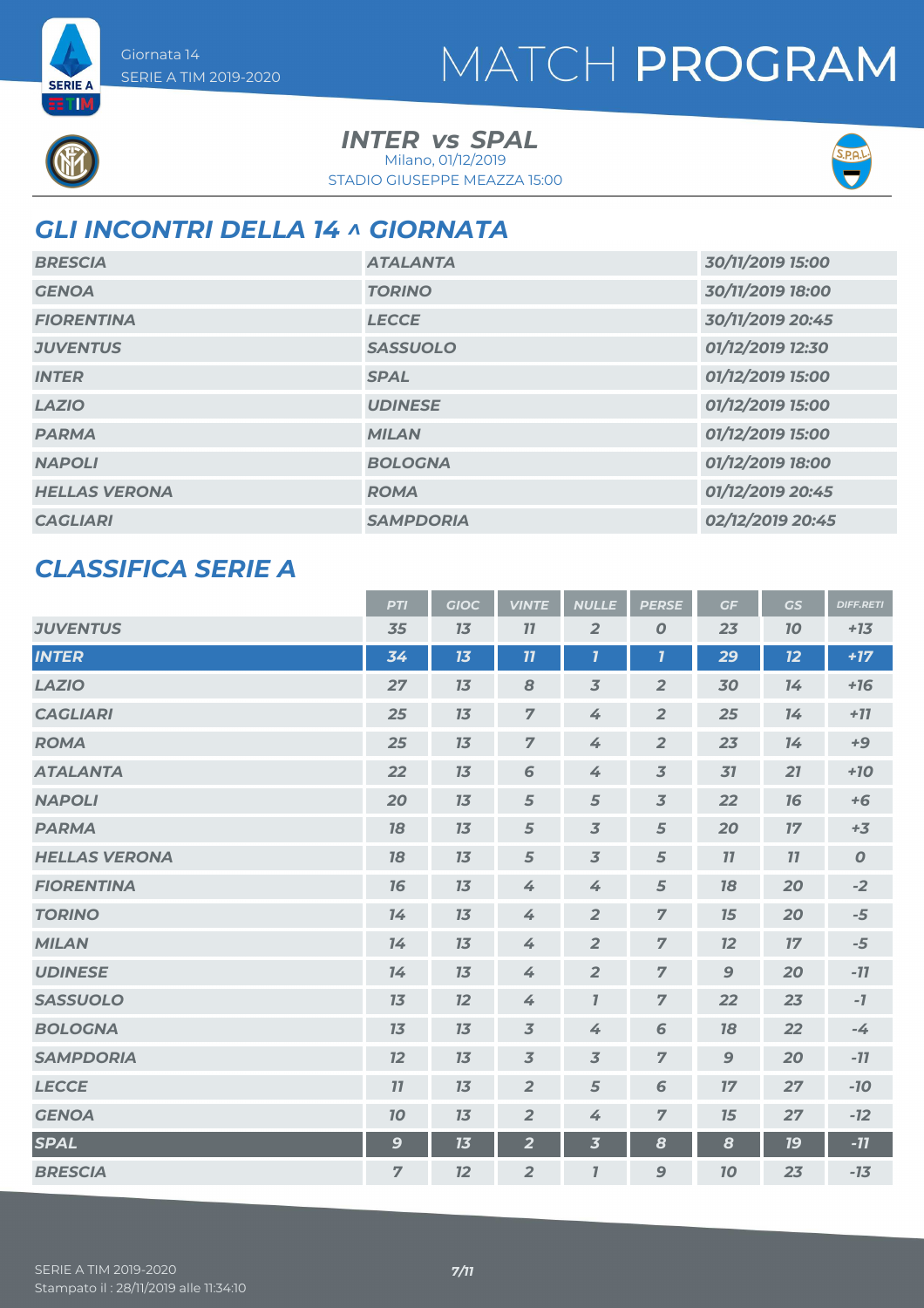

**SERIE A** ETIM

> **INTER** vs SPAL STADIO GIUSEPPE MEAZZA 15:00 Milano, 01/12/2019



#### *GLI INCONTRI DELLA 14 ^ GIORNATA*

| <b>BRESCIA</b>       | <b>ATALANTA</b>  | 30/11/2019 15:00 |
|----------------------|------------------|------------------|
| <b>GENOA</b>         | <b>TORINO</b>    | 30/11/2019 18:00 |
| <b>FIORENTINA</b>    | <b>LECCE</b>     | 30/11/2019 20:45 |
| <b>JUVENTUS</b>      | <b>SASSUOLO</b>  | 01/12/2019 12:30 |
| <b>INTER</b>         | <b>SPAL</b>      | 01/12/2019 15:00 |
| <b>LAZIO</b>         | <b>UDINESE</b>   | 01/12/2019 15:00 |
| <b>PARMA</b>         | <b>MILAN</b>     | 01/12/2019 15:00 |
| <b>NAPOLI</b>        | <b>BOLOGNA</b>   | 01/12/2019 18:00 |
| <b>HELLAS VERONA</b> | <b>ROMA</b>      | 01/12/2019 20:45 |
| <b>CAGLIARI</b>      | <b>SAMPDORIA</b> | 02/12/2019 20:45 |

#### *CLASSIFICA SERIE A*

|                      | <b>PTI</b>     | <b>GIOC</b> | <b>VINTE</b>   | <b>NULLE</b>            | <b>PERSE</b>     | GF           | GS        | <b>DIFF.RETI</b> |
|----------------------|----------------|-------------|----------------|-------------------------|------------------|--------------|-----------|------------------|
| <b>JUVENTUS</b>      | 35             | 13          | 77             | $\overline{2}$          | $\boldsymbol{0}$ | 23           | 70        | $+13$            |
| <b>INTER</b>         | 34             | 13          | 11             | $\overline{\mathbf{I}}$ | $\mathbf{7}$     | 29           | 12        | $+17$            |
| <b>LAZIO</b>         | 27             | 13          | 8              | $\overline{3}$          | $\overline{2}$   | 30           | 14        | $+16$            |
| <b>CAGLIARI</b>      | 25             | 13          | $\overline{7}$ | 4                       | $\overline{2}$   | 25           | 14        | $+77$            |
| <b>ROMA</b>          | 25             | 13          | $\overline{7}$ | 4                       | $\overline{2}$   | 23           | 14        | $+9$             |
| <b>ATALANTA</b>      | 22             | 13          | 6              | 4                       | $\overline{3}$   | 31           | 21        | $+10$            |
| <b>NAPOLI</b>        | 20             | 13          | 5              | 5                       | $\overline{3}$   | 22           | 76        | $+6$             |
| <b>PARMA</b>         | 18             | 13          | 5              | $\overline{3}$          | $\sqrt{5}$       | 20           | 17        | $+3$             |
| <b>HELLAS VERONA</b> | 78             | 13          | 5              | $\overline{3}$          | 5                | 11           | 77        | $\boldsymbol{O}$ |
| <b>FIORENTINA</b>    | 16             | 13          | 4              | 4                       | $\sqrt{5}$       | 78           | 20        | $-2$             |
| <b>TORINO</b>        | 14             | 13          | 4              | $\overline{2}$          | $\overline{7}$   | 15           | 20        | $-5$             |
| <b>MILAN</b>         | 14             | 13          | 4              | $\overline{2}$          | $\overline{7}$   | 12           | 17        | $-5$             |
| <b>UDINESE</b>       | 14             | 13          | 4              | $\overline{2}$          | $\overline{z}$   | $\mathbf{9}$ | 20        | $-11$            |
| <b>SASSUOLO</b>      | 13             | 12          | 4              | $\overline{I}$          | $\overline{7}$   | 22           | 23        | $-7$             |
| <b>BOLOGNA</b>       | 13             | 13          | $\overline{3}$ | 4                       | 6                | 78           | 22        | $-4$             |
| <b>SAMPDORIA</b>     | 12             | 13          | $\overline{3}$ | $\overline{3}$          | $\overline{7}$   | $\mathbf{9}$ | 20        | $-11$            |
| <b>LECCE</b>         | 11             | 13          | $\overline{2}$ | 5                       | 6                | 17           | 27        | $-10$            |
| <b>GENOA</b>         | 10             | 13          | $\overline{2}$ | 4                       | $\overline{z}$   | 15           | 27        | $-12$            |
| <b>SPAL</b>          | $\mathbf{9}$   | 13          | $\overline{2}$ | $\overline{\mathbf{3}}$ | 8                | 8            | <b>19</b> | $-11$            |
| <b>BRESCIA</b>       | $\overline{7}$ | 12          | $\overline{2}$ | $\overline{I}$          | $\mathbf{9}$     | 70           | 23        | $-13$            |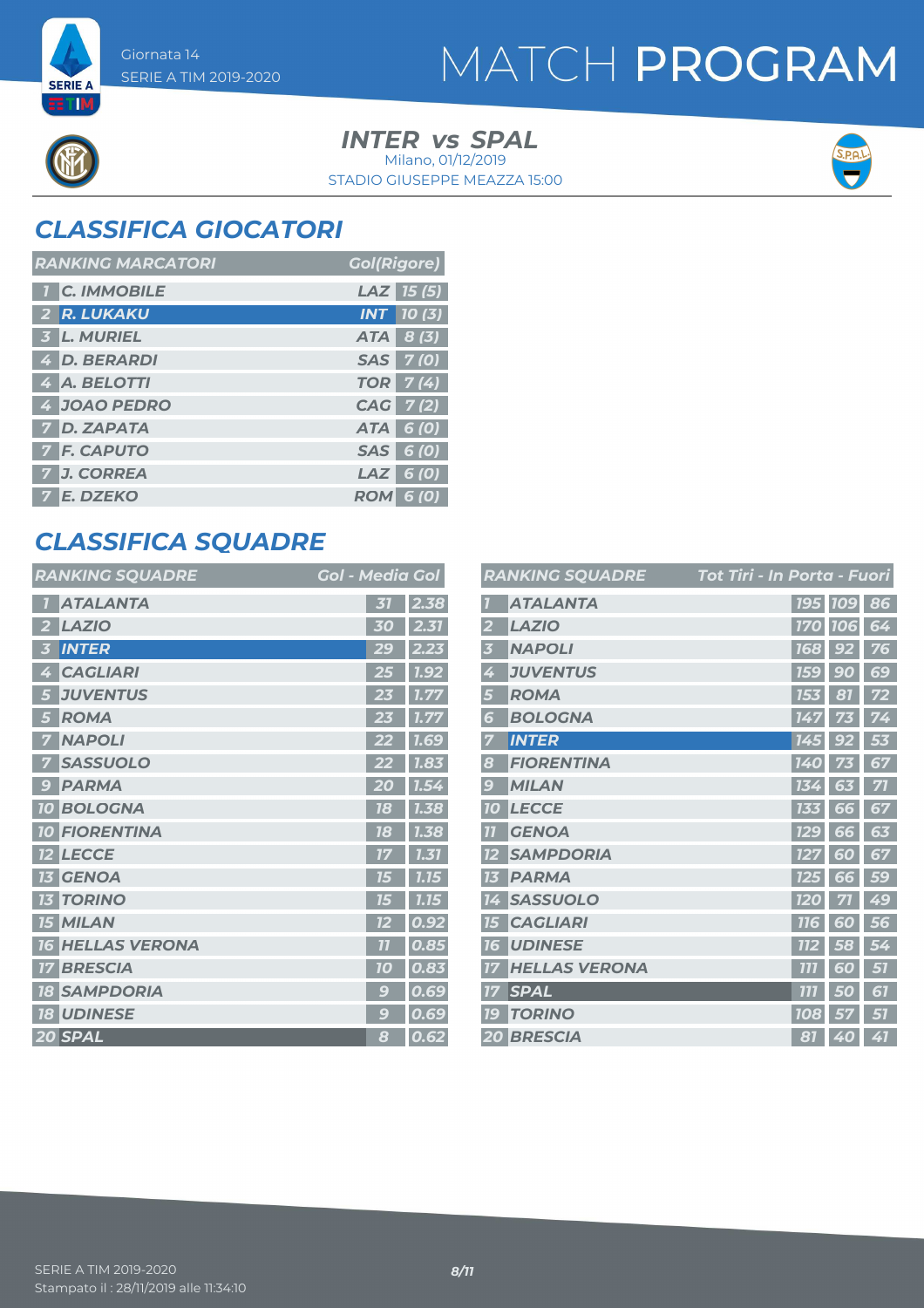

**SERIE A** ETM

> **INTER** vs SPAL STADIO GIUSEPPE MEAZZA 15:00 Milano, 01/12/2019



### *CLASSIFICA GIOCATORI*

| <b>RANKING MARCATORI</b> | <b>Gol(Rigore)</b> |
|--------------------------|--------------------|
| <b>T</b> C. IMMOBILE     | $LAZ$ 15 (5)       |
| 2 R. LUKAKU              | $INT$ $10(3)$      |
| 3 L. MURIEL              | ATA 8 (3)          |
| 4 D. BERARDI             | SAS 7(0)           |
| 4 A. BELOTTI             | <b>TOR</b> 7(4)    |
| 4 JOAO PEDRO             | CAG 7(2)           |
| 7 D. ZAPATA              | ATA 6 (0)          |
| <b>7 F. CAPUTO</b>       | SAS 6 (0)          |
| 7 J. CORREA              | $LAZ$ 6 (0)        |
| 7 E. DZEKO               | <b>ROM 6 (0)</b>   |

#### *CLASSIFICA SQUADRE*

| <b>RANKING SQUADRE</b> | <b>Gol - Media Gol</b> |
|------------------------|------------------------|
| <b>ATALANTA</b>        | 2.38<br>31             |
| <b>LAZIO</b>           | 2.31                   |
| 2                      | 30                     |
| <b>INTER</b>           | 2.23                   |
| 3                      | 29                     |
| <b>CAGLIARI</b>        | $\overline{1.92}$      |
| 4                      | 25                     |
| <b>JUVENTUS</b>        | 1.77                   |
| 5                      | 23                     |
| <b>ROMA</b>            | 23                     |
| 5                      | 1.77                   |
| <b>NAPOLI</b>          | 1.69                   |
| 7                      | 22                     |
| <b>SASSUOLO</b>        | 1.83                   |
| <b>PARMA</b>           | 20                     |
| $\mathbf{G}$           | 1.54                   |
| <b>10 BOLOGNA</b>      | 78<br>1.38             |
| <b>FIORENTINA</b>      | 1.38                   |
| 10 <sup>1</sup>        | 18                     |
| <b>LECCE</b>           | 1.31<br>17             |
| <b>GENOA</b>           | 1.15                   |
| 73                     | 75                     |
| <b>TORINO</b>          | 1.15                   |
| 13                     | 75                     |
| <b>15 MILAN</b>        | 0.92<br>12             |
| <b>HELLAS VERONA</b>   | 77                     |
| 16                     | 0.85                   |
| <b>BRESCIA</b>         | 0.83                   |
| 17                     | 70                     |
| <b>SAMPDORIA</b>       | 0.69                   |
| 18                     | $\mathbf{C}$           |
| <b>18 UDINESE</b>      | 0.69<br>$\epsilon$     |
| 20 SPAL                | 0.62<br>8              |

|                | <b>RANKING SQUADRE</b> | Tot Tiri - In Porta - Fuori |                                       |    |
|----------------|------------------------|-----------------------------|---------------------------------------|----|
|                | <b>ATALANTA</b>        |                             | <b>195 109</b>                        | 86 |
| $\overline{2}$ | <b>LAZIO</b>           | <b>170</b>                  | <b>106</b>                            | 64 |
| 3              | <b>NAPOLI</b>          | 168                         | 92                                    | 76 |
| 4              | <b>JUVENTUS</b>        | <b>159</b>                  | 9<br>$\overline{0}$                   | 69 |
| 5              | <b>ROMA</b>            | 153                         | 81                                    | 72 |
| 6              | <b>BOLOGNA</b>         | 147                         |                                       | 74 |
| 7              | <b>INTER</b>           | 145                         | 92                                    | 53 |
| 8              | <b>FIORENTINA</b>      | 140                         |                                       | 67 |
| 9              | <b>MILAN</b>           | 134                         | 63                                    | 71 |
| 10             | <b>LECCE</b>           | 133                         | 66                                    | 67 |
| 77             | <b>GENOA</b>           | <b>129</b>                  | 66                                    | 63 |
| 12             | <b>SAMPDORIA</b>       | 127                         | 60                                    | 67 |
| 13             | <b>PARMA</b>           | <b>125</b>                  | 66                                    | 59 |
| 14             | <b>SASSUOLO</b>        | <b>120</b>                  | 71                                    | 49 |
| <b>15</b>      | <b>CAGLIARI</b>        | <b>116</b>                  | 60                                    | 56 |
| 16             | <b>UDINESE</b>         | <b>112</b>                  | 58                                    | 54 |
| 77             | <b>HELLAS VERONA</b>   | 777                         | 6<br>$\overline{0}$                   | 51 |
| 17             | <b>SPAL</b>            | 777                         | Ģ<br>$\overline{\boldsymbol{\theta}}$ | 61 |
| <b>19</b>      | <b>TORINO</b>          | 108                         | 57                                    | 57 |
|                | <b>20 BRESCIA</b>      | 81                          | 40                                    | 41 |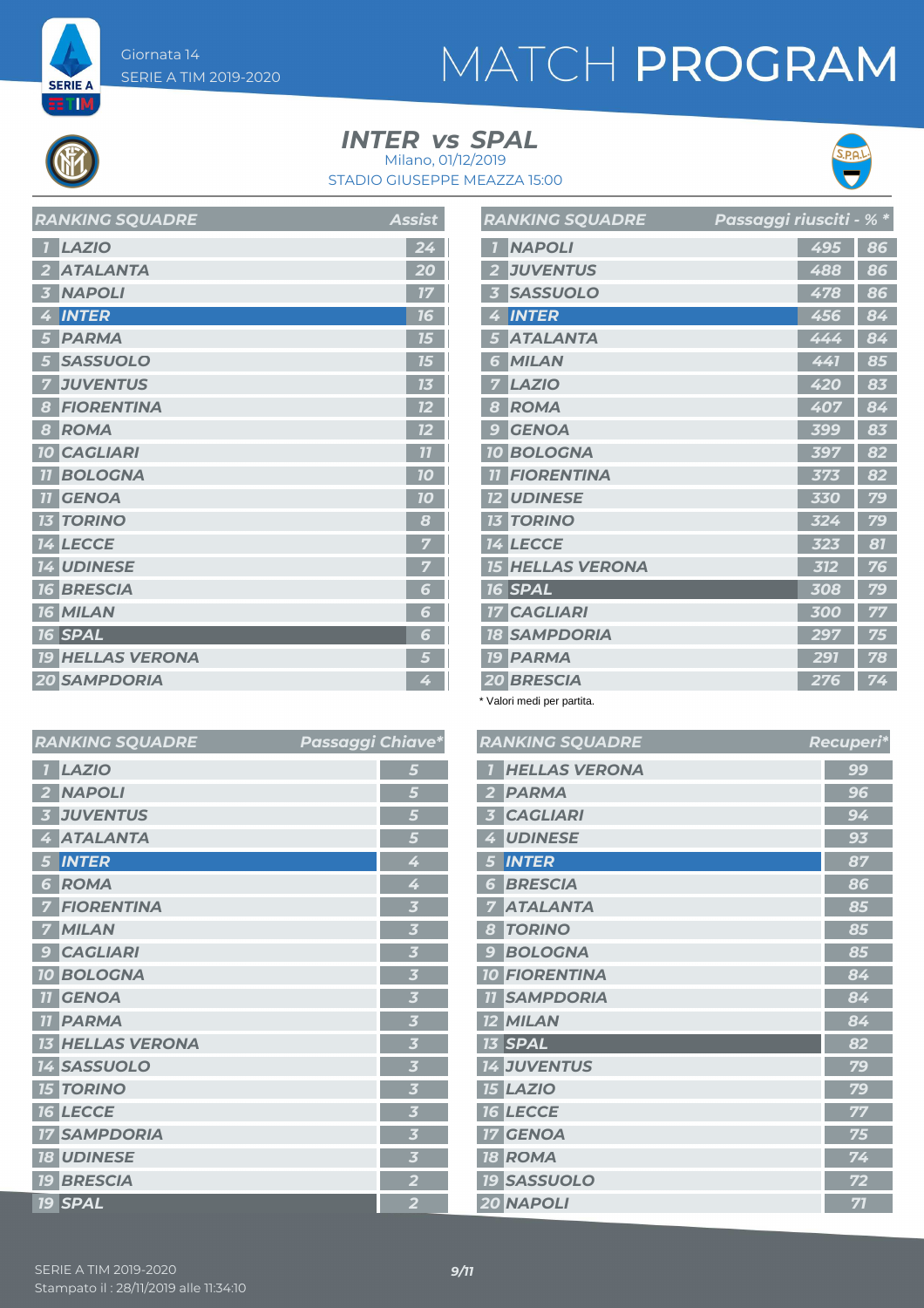# MATCH PROGRAM



**SERIE A ETIM** 

> **INTER** vs SPAL Milano, 01/12/2019

STADIO GIUSEPPE MEAZZA 15:00



|                                            | AJJIJU |
|--------------------------------------------|--------|
| <b>LAZIO</b><br>$\overline{1}$             | 24     |
| <b>ATALANTA</b><br>$\overline{\mathbf{2}}$ | 20     |
| <b>NAPOLI</b><br>3                         | 17     |
| <b>INTER</b><br>4                          | 16     |
| <b>PARMA</b><br>5                          | 15     |
| <b>SASSUOLO</b><br>5                       | 15     |
| <b>JUVENTUS</b><br>7                       | 13     |
| <b>FIORENTINA</b><br>8                     | 12     |
| <b>ROMA</b><br>8                           | 12     |
| <b>10 CAGLIARI</b>                         | 77     |
| <b>TI BOLOGNA</b>                          | 10     |
| <b>GENOA</b><br>77                         | 10     |
| <b>13 TORINO</b>                           | 8      |
| <b>14 LECCE</b>                            | 7      |
| <b>14 UDINESE</b>                          |        |
| <b>16 BRESCIA</b>                          | 6      |
| <b>16 MILAN</b>                            | 6      |
| <b>16 SPAL</b>                             | 6      |
| <b>19 HELLAS VERONA</b>                    | 5      |
| <b>20 SAMPDORIA</b>                        | 4      |

*RANKING SQUADRE Assist*

| <b>RANKING SQUADRE</b>       | Passaggi riusciti - % * |     |    |
|------------------------------|-------------------------|-----|----|
| <b>NAPOLI</b>                |                         | 495 | 86 |
| <b>JUVENTUS</b>              |                         | 488 | 86 |
| <b>SASSUOLO</b>              |                         | 478 | 86 |
| <b>INTER</b><br>4            |                         | 456 | 84 |
| <b>ATALANTA</b>              |                         | 444 | 84 |
| <b>MILAN</b><br>Б            |                         | 441 | 85 |
| <b>LAZIO</b>                 |                         | 420 | 83 |
| <b>ROMA</b><br>8             |                         | 407 | 84 |
| <b>GENOA</b><br>$\mathbf{C}$ |                         | 399 | 83 |
| <b>BOLOGNA</b><br>10         |                         | 397 | 82 |
| <b>FIORENTINA</b>            |                         | 373 | 82 |
| <b>UDINESE</b>               |                         | 330 | 79 |
| <b>TORINO</b>                |                         | 324 | 79 |
| <b>LECCE</b>                 |                         | 323 | 81 |
| <b>HELLAS VERONA</b>         |                         | 312 | 76 |
| <b>16 SPAL</b>               |                         | 308 | 79 |
| <b>CAGLIARI</b>              |                         | 300 | 77 |
| <b>SAMPDORIA</b><br>18       |                         | 297 | 75 |
| <b>19 PARMA</b>              |                         | 291 | 78 |
| 20 BRESCIA                   |                         | 276 | 74 |

\* Valori medi per partita.

|                         | <b>RANKING SQUADRE</b>  | Passaggi Chiave* |                         | <b>RAN</b>                       |  |
|-------------------------|-------------------------|------------------|-------------------------|----------------------------------|--|
| $\overline{\mathbf{I}}$ | <b>LAZIO</b>            |                  | 5                       | H                                |  |
| $\overline{2}$          | <b>NAPOLI</b>           |                  | 5                       | $\overline{P}$<br>$\overline{2}$ |  |
| $\overline{\mathbf{3}}$ | <b>JUVENTUS</b>         |                  | 5                       | $\mathsf{C}$<br>3                |  |
| 4                       | <b>ATALANTA</b>         |                  | 5                       | $\cup$<br>4                      |  |
| 5                       | <b>INTER</b>            |                  | 4                       | $\mathbf{r}$<br>5                |  |
| $6\phantom{1}$          | <b>ROMA</b>             |                  | 4                       | $\boldsymbol{B}$<br>6            |  |
| $\overline{7}$          | <b>FIORENTINA</b>       |                  | 3                       | $\overline{A}$<br>7              |  |
| $\overline{7}$          | <b>MILAN</b>            |                  | $\overline{\mathbf{3}}$ | $\overline{T}$<br>8              |  |
| 9                       | <b>CAGLIARI</b>         |                  | $\overline{\mathbf{3}}$ | $\boldsymbol{B}$<br>9            |  |
|                         | <b>10 BOLOGNA</b>       |                  | 3                       | 10E                              |  |
|                         | <b>11 GENOA</b>         |                  | $\overline{\mathbf{3}}$ | S<br>11                          |  |
|                         | <b>11 PARMA</b>         |                  | 3                       | 12M                              |  |
|                         | <b>13 HELLAS VERONA</b> |                  | $\overline{\mathbf{3}}$ | $\overline{\mathsf{S}}$<br>13    |  |
|                         | 14 SASSUOLO             |                  | $\overline{\mathbf{3}}$ | 14J                              |  |
|                         | <b>15 TORINO</b>        |                  | $\overline{\mathbf{3}}$ | 15L                              |  |
|                         | <b>16 LECCE</b>         |                  | $\overline{\mathbf{3}}$ | <b>16</b> L                      |  |
|                         | <b>17 SAMPDORIA</b>     |                  | 3                       | 17G                              |  |
|                         | <b>18 UDINESE</b>       |                  | $\overline{\mathbf{3}}$ | $\vert R$<br>78                  |  |
|                         | <b>19 BRESCIA</b>       |                  | $\overline{2}$          | <b>19 S</b>                      |  |
|                         | <b>19 SPAL</b>          |                  | $\overline{2}$          | 20N                              |  |

|                         | <b>RANKING SQUADRE</b> | Recuperi* |
|-------------------------|------------------------|-----------|
| $\overline{I}$          | <b>HELLAS VERONA</b>   | 99        |
| $\overline{\mathbf{2}}$ | <b>PARMA</b>           | 96        |
| $\overline{\mathbf{3}}$ | <b>CAGLIARI</b>        | 94        |
| 4                       | <b>UDINESE</b>         | 93        |
| 5                       | <b>INTER</b>           | 87        |
| 6                       | <b>BRESCIA</b>         | 86        |
| 7                       | <b>ATALANTA</b>        | 85        |
| 8                       | <b>TORINO</b>          | 85        |
| 9                       | <b>BOLOGNA</b>         | 85        |
|                         | <b>10 FIORENTINA</b>   | 84        |
|                         | <b>TI SAMPDORIA</b>    | 84        |
|                         | <b>12 MILAN</b>        | 84        |
|                         | <b>13 SPAL</b>         | 82        |
|                         | <b>14 JUVENTUS</b>     | 79        |
|                         | <b>15 LAZIO</b>        | 79        |
|                         | <b>16 LECCE</b>        | 77        |
|                         | <b>17 GENOA</b>        | 75        |
|                         | <b>18 ROMA</b>         | 74        |
|                         | <b>19 SASSUOLO</b>     | 72        |
|                         | <b>20 NAPOLI</b>       | 71        |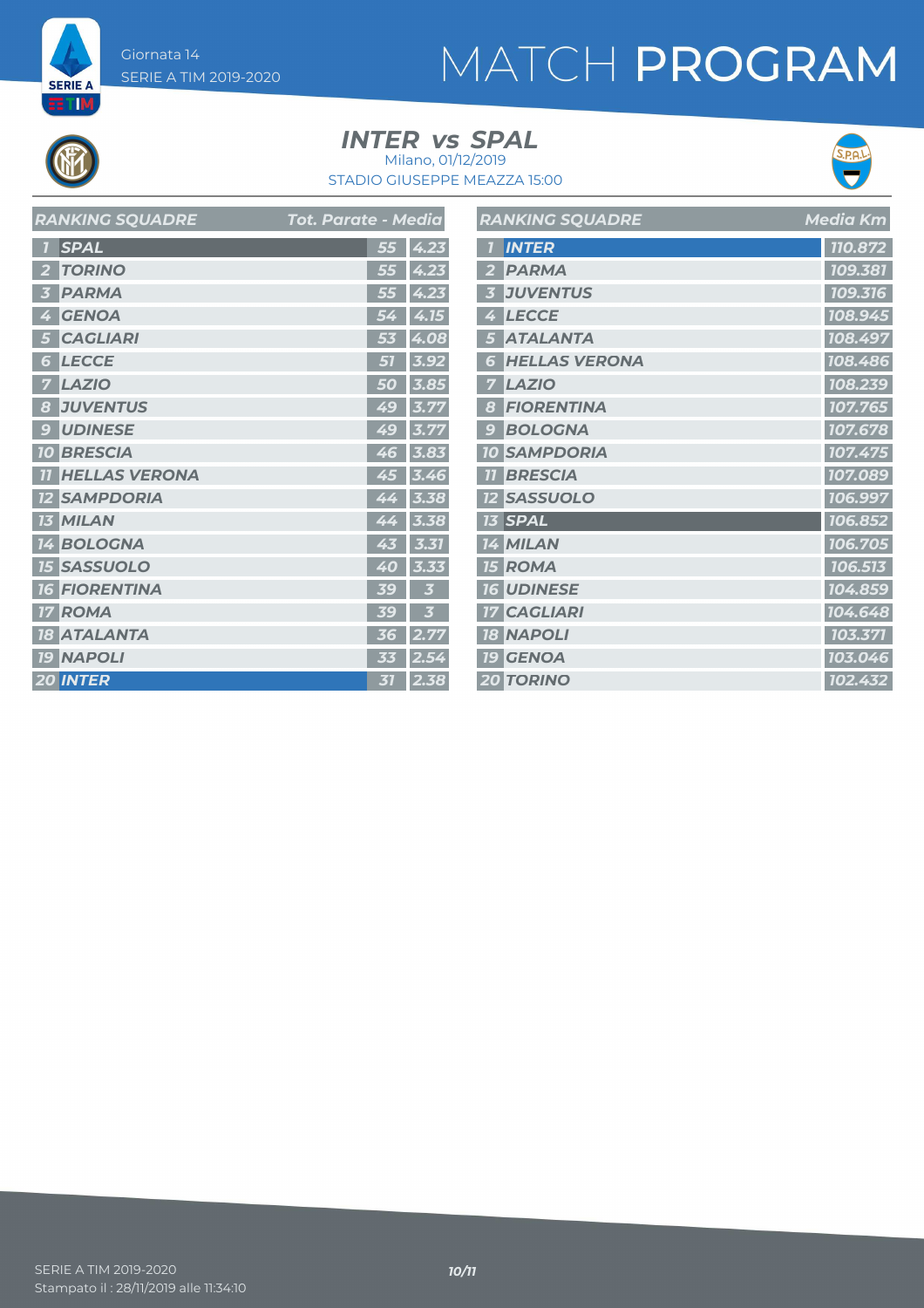# MATCH PROGRAM



**SERIE A ET M** 

> **INTER** vs SPAL Milano, 01/12/2019





| <b>RANKING SQUADRE</b>                  | <b>Tot. Parate - Media</b>    | <b>RANKING SQUADRE</b> | <b>Media Km</b> |
|-----------------------------------------|-------------------------------|------------------------|-----------------|
| <b>SPAL</b>                             | $55 \, 4.23$                  | <b>1 INTER</b>         | 110.872         |
| 2 TORINO                                | 55 4.23                       | 2 PARMA                | 109.381         |
| <b>PARMA</b><br>$\overline{\mathbf{3}}$ | 55 4.23                       | <b>3 JUVENTUS</b>      | 109.316         |
| <b>GENOA</b><br>4                       | 4.15<br>54                    | 4 LECCE                | 108.945         |
| <b>5 CAGLIARI</b>                       | 53 4.08                       | 5 ATALANTA             | 108.497         |
| <b>6 LECCE</b>                          | $3.92$<br>51                  | <b>6 HELLAS VERONA</b> | 108.486         |
| <b>LAZIO</b>                            | 50 3.85                       | <b>7 LAZIO</b>         | 108.239         |
| <b>JUVENTUS</b><br>8                    | 3.77<br>49                    | <b>8 FIORENTINA</b>    | 107.765         |
| <b>UDINESE</b><br>9                     | 49 3.77                       | <b>9 BOLOGNA</b>       | 107.678         |
| <b>10 BRESCIA</b>                       | 46 3.83                       | <b>10 SAMPDORIA</b>    | 107.475         |
| <b>11 HELLAS VERONA</b>                 | 45 3.46                       | <b>11 BRESCIA</b>      | 107.089         |
| <b>12 SAMPDORIA</b>                     | 3.38<br>44                    | <b>12 SASSUOLO</b>     | 106.997         |
| <b>13 MILAN</b>                         | 3.38<br>44                    | <b>13 SPAL</b>         | 106.852         |
| 14 BOLOGNA                              | 43 3.31                       | 14 MILAN               | 106.705         |
| <b>15 SASSUOLO</b>                      | 3.33<br>40                    | <b>15 ROMA</b>         | 106.513         |
| <b>16 FIORENTINA</b>                    | 39<br>$\overline{\mathbf{3}}$ | <b>16 UDINESE</b>      | 104.859         |
| <b>17 ROMA</b>                          | $\overline{3}$<br>39          | <b>17 CAGLIARI</b>     | 104.648         |
| <b>18 ATALANTA</b>                      | 2.77<br>36                    | <b>18 NAPOLI</b>       | 103.371         |
| <b>19 NAPOLI</b>                        | 33 2.54                       | <b>19 GENOA</b>        | 103.046         |
| <b>20 INTER</b>                         | $31$ 2.38                     | <b>20 TORINO</b>       | 102.432         |